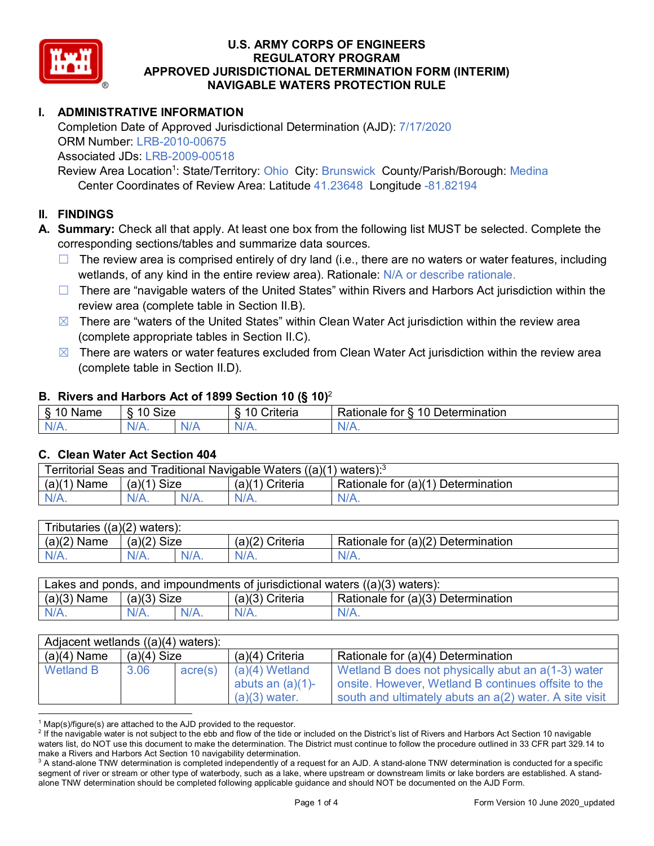

# **I. ADMINISTRATIVE INFORMATION**

Completion Date of Approved Jurisdictional Determination (AJD): 7/17/2020 ORM Number: LRB-2010-00675 Associated JDs: LRB-2009-00518

Review Area Location<sup>1</sup>: State/Territory: Ohio City: Brunswick County/Parish/Borough: Medina Center Coordinates of Review Area: Latitude 41.23648 Longitude -81.82194

# **II. FINDINGS**

**A. Summary:** Check all that apply. At least one box from the following list MUST be selected. Complete the corresponding sections/tables and summarize data sources.

- $\Box$  The review area is comprised entirely of dry land (i.e., there are no waters or water features, including wetlands, of any kind in the entire review area). Rationale: N/A or describe rationale.
- $\Box$  There are "navigable waters of the United States" within Rivers and Harbors Act jurisdiction within the review area (complete table in Section II.B).
- $\boxtimes$  There are "waters of the United States" within Clean Water Act jurisdiction within the review area (complete appropriate tables in Section II.C).
- $\boxtimes$  There are waters or water features excluded from Clean Water Act jurisdiction within the review area (complete table in Section II.D).

#### **B. Rivers and Harbors Act of 1899 Section 10 (§ 10)**<sup>2</sup>

| $\cdot$  |                                         |          |                                      |                                         |  |  |
|----------|-----------------------------------------|----------|--------------------------------------|-----------------------------------------|--|--|
| Name<br> | $\sim$<br>$\overline{A}$<br>SIZE<br>IL. |          | . .<br>10<br>$"$ ritorio<br>∍⊓iteria | 10<br>Determination<br>≺atıonale<br>tor |  |  |
| $N/A$ .  | $N/A$ .                                 | w<br>u r | 97 / TV .                            | м.<br>$\mathbf{v}$                      |  |  |

#### **C. Clean Water Act Section 404**

| <b>Territorial Seas and</b><br>Traditional Navigable Waters ((a)(1)<br>waters): <sup>3</sup> |                |         |                    |                                    |  |
|----------------------------------------------------------------------------------------------|----------------|---------|--------------------|------------------------------------|--|
| (a)(1)<br>Name                                                                               | Size<br>(a)(1) |         | Criteria<br>(a)(1) | Rationale for (a)(1) Determination |  |
|                                                                                              | $N/A$ .        | $N/A$ . | $N/A$ .            | $N/A$ .                            |  |

| Tributaries $((a)(2)$ waters): |                       |         |                   |                                    |  |  |
|--------------------------------|-----------------------|---------|-------------------|------------------------------------|--|--|
| $(a)(2)$ Name                  | <b>Size</b><br>(a)(2) |         | $(a)(2)$ Criteria | Rationale for (a)(2) Determination |  |  |
| $N/A$ .                        | N/A.                  | $N/A$ . | $N/A$ .           | $N/A$ .                            |  |  |

| Lakes and ponds, and impoundments of jurisdictional waters $((a)(3)$ waters): |               |         |                   |                                    |  |
|-------------------------------------------------------------------------------|---------------|---------|-------------------|------------------------------------|--|
| $(a)(3)$ Name                                                                 | $(a)(3)$ Size |         | $(a)(3)$ Criteria | Rationale for (a)(3) Determination |  |
| $N/A$ .                                                                       | $N/A$ .       | $N/A$ . | $N/A$ .           | $N/A$ .                            |  |

| Adjacent wetlands $((a)(4)$ waters): |               |         |                                                            |                                                                                                                                                                     |  |
|--------------------------------------|---------------|---------|------------------------------------------------------------|---------------------------------------------------------------------------------------------------------------------------------------------------------------------|--|
| $(a)(4)$ Name                        | $(a)(4)$ Size |         | $(a)(4)$ Criteria                                          | Rationale for (a)(4) Determination                                                                                                                                  |  |
| <b>Wetland B</b>                     | 3.06          | acre(s) | $(a)(4)$ Wetland<br>abuts an $(a)(1)$ -<br>$(a)(3)$ water. | Wetland B does not physically abut an a(1-3) water<br>onsite. However, Wetland B continues offsite to the<br>south and ultimately abuts an a(2) water. A site visit |  |

 $1$  Map(s)/figure(s) are attached to the AJD provided to the requestor.

<sup>&</sup>lt;sup>2</sup> If the navigable water is not subject to the ebb and flow of the tide or included on the District's list of Rivers and Harbors Act Section 10 navigable waters list, do NOT use this document to make the determination. The District must continue to follow the procedure outlined in 33 CFR part 329.14 to make a Rivers and Harbors Act Section 10 navigability determination.

<sup>&</sup>lt;sup>3</sup> A stand-alone TNW determination is completed independently of a request for an AJD. A stand-alone TNW determination is conducted for a specific segment of river or stream or other type of waterbody, such as a lake, where upstream or downstream limits or lake borders are established. A standalone TNW determination should be completed following applicable guidance and should NOT be documented on the AJD Form.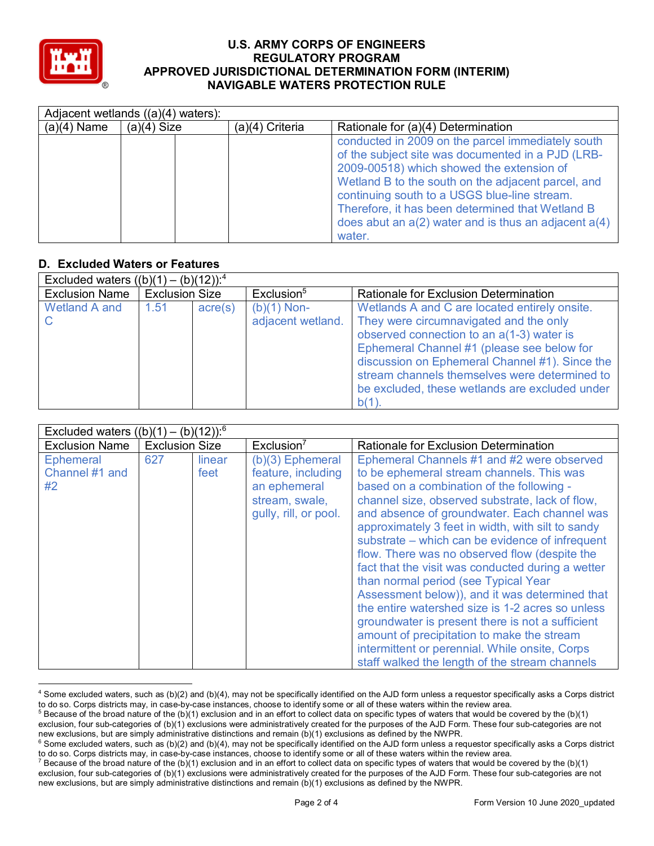

|               | Adjacent wetlands ((a)(4) waters): |                   |                                                                                                                                                                                                                                                                                                                                                                                     |  |  |
|---------------|------------------------------------|-------------------|-------------------------------------------------------------------------------------------------------------------------------------------------------------------------------------------------------------------------------------------------------------------------------------------------------------------------------------------------------------------------------------|--|--|
| $(a)(4)$ Name | $(a)(4)$ Size                      | $(a)(4)$ Criteria | Rationale for (a)(4) Determination                                                                                                                                                                                                                                                                                                                                                  |  |  |
|               |                                    |                   | conducted in 2009 on the parcel immediately south<br>of the subject site was documented in a PJD (LRB-<br>2009-00518) which showed the extension of<br>Wetland B to the south on the adjacent parcel, and<br>continuing south to a USGS blue-line stream.<br>Therefore, it has been determined that Wetland B<br>does abut an $a(2)$ water and is thus an adjacent $a(4)$<br>water. |  |  |

# **D. Excluded Waters or Features**

| Excluded waters $((b)(1) - (b)(12))$ : <sup>4</sup> |                       |                  |                                    |                                                                                                                                                                                                                                                                                                                                                 |  |
|-----------------------------------------------------|-----------------------|------------------|------------------------------------|-------------------------------------------------------------------------------------------------------------------------------------------------------------------------------------------------------------------------------------------------------------------------------------------------------------------------------------------------|--|
| <b>Exclusion Name</b>                               | <b>Exclusion Size</b> |                  | Exclusion <sup>5</sup>             | <b>Rationale for Exclusion Determination</b>                                                                                                                                                                                                                                                                                                    |  |
| Wetland A and                                       | 1.51                  | $\text{acre}(s)$ | $(b)(1)$ Non-<br>adjacent wetland. | Wetlands A and C are located entirely onsite.<br>They were circumnavigated and the only<br>observed connection to an a(1-3) water is<br>Ephemeral Channel #1 (please see below for<br>discussion on Ephemeral Channel #1). Since the<br>stream channels themselves were determined to<br>be excluded, these wetlands are excluded under<br>b(1) |  |

| Excluded waters $((b)(1) - (b)(12))$ : <sup>6</sup> |                       |                |                                                                                                   |                                                                                                                                                                                                                                                                                                                                                                                                                                                                                                                                                                                                                                                                                                                                                                                                           |  |
|-----------------------------------------------------|-----------------------|----------------|---------------------------------------------------------------------------------------------------|-----------------------------------------------------------------------------------------------------------------------------------------------------------------------------------------------------------------------------------------------------------------------------------------------------------------------------------------------------------------------------------------------------------------------------------------------------------------------------------------------------------------------------------------------------------------------------------------------------------------------------------------------------------------------------------------------------------------------------------------------------------------------------------------------------------|--|
| <b>Exclusion Name</b>                               | <b>Exclusion Size</b> |                | Exclusion <sup>7</sup>                                                                            | Rationale for Exclusion Determination                                                                                                                                                                                                                                                                                                                                                                                                                                                                                                                                                                                                                                                                                                                                                                     |  |
| <b>Ephemeral</b><br>Channel #1 and<br>#2            | 627                   | linear<br>feet | (b)(3) Ephemeral<br>feature, including<br>an ephemeral<br>stream, swale,<br>gully, rill, or pool. | Ephemeral Channels #1 and #2 were observed<br>to be ephemeral stream channels. This was<br>based on a combination of the following -<br>channel size, observed substrate, lack of flow,<br>and absence of groundwater. Each channel was<br>approximately 3 feet in width, with silt to sandy<br>substrate – which can be evidence of infrequent<br>flow. There was no observed flow (despite the<br>fact that the visit was conducted during a wetter<br>than normal period (see Typical Year<br>Assessment below)), and it was determined that<br>the entire watershed size is 1-2 acres so unless<br>groundwater is present there is not a sufficient<br>amount of precipitation to make the stream<br>intermittent or perennial. While onsite, Corps<br>staff walked the length of the stream channels |  |

 <sup>4</sup> Some excluded waters, such as (b)(2) and (b)(4), may not be specifically identified on the AJD form unless a requestor specifically asks a Corps district to do so. Corps districts may, in case-by-case instances, choose to identify some or all of these waters within the review area.

 $5$  Because of the broad nature of the (b)(1) exclusion and in an effort to collect data on specific types of waters that would be covered by the (b)(1) exclusion, four sub-categories of (b)(1) exclusions were administratively created for the purposes of the AJD Form. These four sub-categories are not new exclusions, but are simply administrative distinctions and remain (b)(1) exclusions as defined by the NWPR.

 $6$  Some excluded waters, such as (b)(2) and (b)(4), may not be specifically identified on the AJD form unless a requestor specifically asks a Corps district to do so. Corps districts may, in case-by-case instances, choose to identify some or all of these waters within the review area.

<sup>&</sup>lt;sup>7</sup> Because of the broad nature of the (b)(1) exclusion and in an effort to collect data on specific types of waters that would be covered by the (b)(1) exclusion, four sub-categories of (b)(1) exclusions were administratively created for the purposes of the AJD Form. These four sub-categories are not new exclusions, but are simply administrative distinctions and remain (b)(1) exclusions as defined by the NWPR.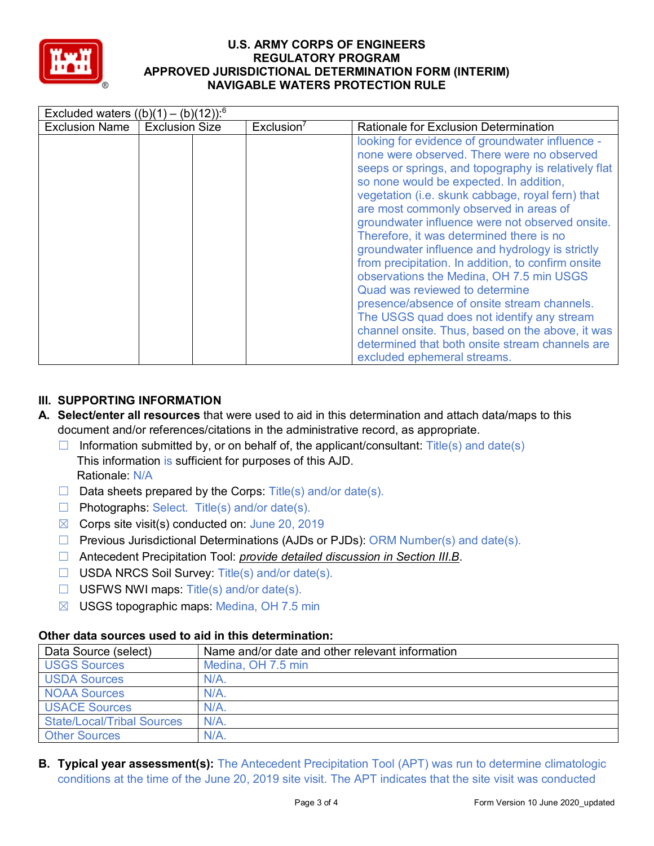

| Excluded waters $((b)(1) - (b)(12))$ : <sup>6</sup> |                       |                        |                                                                                                                                                                                                                                                                                                                                                                                                                                                                                                                                                                                                                                                                                                                                                                                                                        |
|-----------------------------------------------------|-----------------------|------------------------|------------------------------------------------------------------------------------------------------------------------------------------------------------------------------------------------------------------------------------------------------------------------------------------------------------------------------------------------------------------------------------------------------------------------------------------------------------------------------------------------------------------------------------------------------------------------------------------------------------------------------------------------------------------------------------------------------------------------------------------------------------------------------------------------------------------------|
| <b>Exclusion Name</b>                               | <b>Exclusion Size</b> | Exclusion <sup>7</sup> | <b>Rationale for Exclusion Determination</b>                                                                                                                                                                                                                                                                                                                                                                                                                                                                                                                                                                                                                                                                                                                                                                           |
|                                                     |                       |                        | looking for evidence of groundwater influence -<br>none were observed. There were no observed<br>seeps or springs, and topography is relatively flat<br>so none would be expected. In addition,<br>vegetation (i.e. skunk cabbage, royal fern) that<br>are most commonly observed in areas of<br>groundwater influence were not observed onsite.<br>Therefore, it was determined there is no<br>groundwater influence and hydrology is strictly<br>from precipitation. In addition, to confirm onsite<br>observations the Medina, OH 7.5 min USGS<br>Quad was reviewed to determine<br>presence/absence of onsite stream channels.<br>The USGS quad does not identify any stream<br>channel onsite. Thus, based on the above, it was<br>determined that both onsite stream channels are<br>excluded ephemeral streams. |

# **III. SUPPORTING INFORMATION**

- **A. Select/enter all resources** that were used to aid in this determination and attach data/maps to this document and/or references/citations in the administrative record, as appropriate.
	- $\Box$  Information submitted by, or on behalf of, the applicant/consultant: Title(s) and date(s) This information is sufficient for purposes of this AJD. Rationale: N/A
	- $\Box$  Data sheets prepared by the Corps: Title(s) and/or date(s).
	- $\Box$  Photographs: Select. Title(s) and/or date(s).
	- $\boxtimes$  Corps site visit(s) conducted on: June 20, 2019
	- ☐ Previous Jurisdictional Determinations (AJDs or PJDs): ORM Number(s) and date(s).
	- ☐ Antecedent Precipitation Tool: *provide detailed discussion in Section III.B*.
	- ☐ USDA NRCS Soil Survey: Title(s) and/or date(s).
	- $\Box$  USFWS NWI maps: Title(s) and/or date(s).
	- $\boxtimes$  USGS topographic maps: Medina, OH 7.5 min

| Data Source (select)              | Name and/or date and other relevant information |
|-----------------------------------|-------------------------------------------------|
| <b>USGS Sources</b>               | Medina, OH 7.5 min                              |
| <b>USDA Sources</b>               | $N/A$ .                                         |
| <b>NOAA Sources</b>               | $N/A$ .                                         |
| <b>USACE Sources</b>              | $N/A$ .                                         |
| <b>State/Local/Tribal Sources</b> | N/A                                             |
| <b>Other Sources</b>              | $N/A$ .                                         |

# **Other data sources used to aid in this determination:**

**B. Typical year assessment(s):** The Antecedent Precipitation Tool (APT) was run to determine climatologic conditions at the time of the June 20, 2019 site visit. The APT indicates that the site visit was conducted